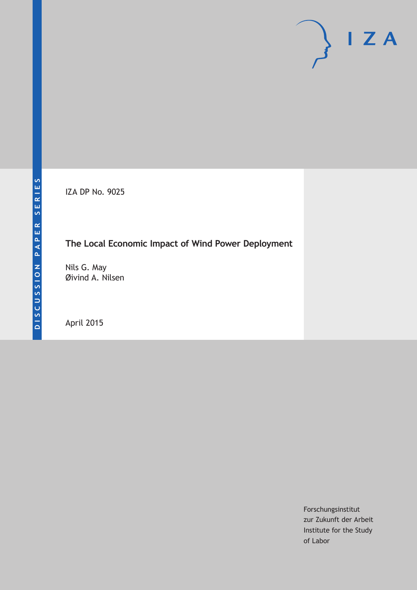IZA DP No. 9025

# **The Local Economic Impact of Wind Power Deployment**

Nils G. May Øivind A. Nilsen

April 2015

Forschungsinstitut zur Zukunft der Arbeit Institute for the Study of Labor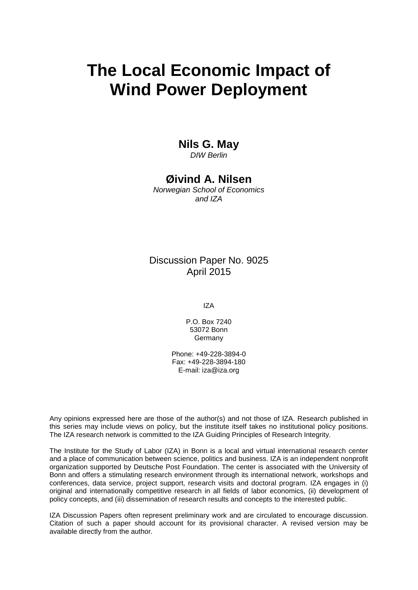# **The Local Economic Impact of Wind Power Deployment**

### **Nils G. May**

*DIW Berlin*

## **Øivind A. Nilsen**

*Norwegian School of Economics and IZA*

### Discussion Paper No. 9025 April 2015

IZA

P.O. Box 7240 53072 Bonn Germany

Phone: +49-228-3894-0 Fax: +49-228-3894-180 E-mail: iza@iza.org

Any opinions expressed here are those of the author(s) and not those of IZA. Research published in this series may include views on policy, but the institute itself takes no institutional policy positions. The IZA research network is committed to the IZA Guiding Principles of Research Integrity.

The Institute for the Study of Labor (IZA) in Bonn is a local and virtual international research center and a place of communication between science, politics and business. IZA is an independent nonprofit organization supported by Deutsche Post Foundation. The center is associated with the University of Bonn and offers a stimulating research environment through its international network, workshops and conferences, data service, project support, research visits and doctoral program. IZA engages in (i) original and internationally competitive research in all fields of labor economics, (ii) development of policy concepts, and (iii) dissemination of research results and concepts to the interested public.

<span id="page-1-0"></span>IZA Discussion Papers often represent preliminary work and are circulated to encourage discussion. Citation of such a paper should account for its provisional character. A revised version may be available directly from the author.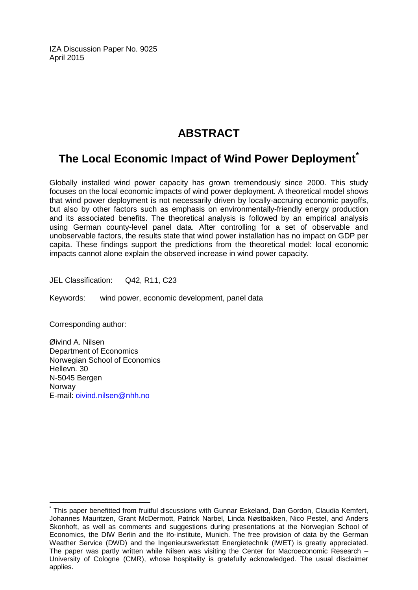IZA Discussion Paper No. 9025 April 2015

# **ABSTRACT**

# **The Local Economic Impact of Wind Power Deployment[\\*](#page-1-0)**

Globally installed wind power capacity has grown tremendously since 2000. This study focuses on the local economic impacts of wind power deployment. A theoretical model shows that wind power deployment is not necessarily driven by locally-accruing economic payoffs, but also by other factors such as emphasis on environmentally-friendly energy production and its associated benefits. The theoretical analysis is followed by an empirical analysis using German county-level panel data. After controlling for a set of observable and unobservable factors, the results state that wind power installation has no impact on GDP per capita. These findings support the predictions from the theoretical model: local economic impacts cannot alone explain the observed increase in wind power capacity.

JEL Classification: Q42, R11, C23

Keywords: wind power, economic development, panel data

Corresponding author:

Øivind A. Nilsen Department of Economics Norwegian School of Economics Hellevn. 30 N-5045 Bergen Norway E-mail: [oivind.nilsen@nhh.no](mailto:oivind.nilsen@nhh.no)

This paper benefitted from fruitful discussions with Gunnar Eskeland, Dan Gordon, Claudia Kemfert, Johannes Mauritzen, Grant McDermott, Patrick Narbel, Linda Nøstbakken, Nico Pestel, and Anders Skonhoft, as well as comments and suggestions during presentations at the Norwegian School of Economics, the DIW Berlin and the Ifo-institute, Munich. The free provision of data by the German Weather Service (DWD) and the Ingenieurswerkstatt Energietechnik (IWET) is greatly appreciated. The paper was partly written while Nilsen was visiting the Center for Macroeconomic Research – University of Cologne (CMR), whose hospitality is gratefully acknowledged. The usual disclaimer applies.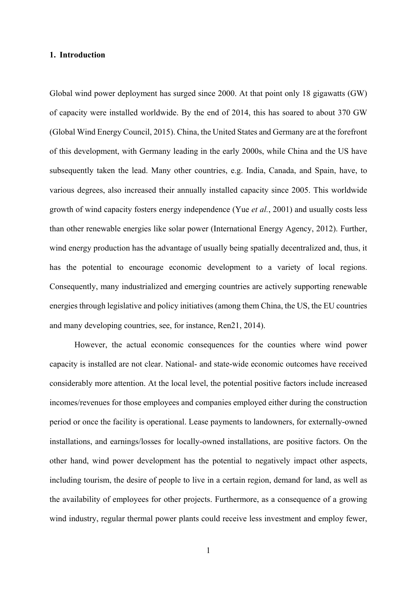#### **1. Introduction**

Global wind power deployment has surged since 2000. At that point only 18 gigawatts (GW) of capacity were installed worldwide. By the end of 2014, this has soared to about 370 GW (Global Wind Energy Council, 2015). China, the United States and Germany are at the forefront of this development, with Germany leading in the early 2000s, while China and the US have subsequently taken the lead. Many other countries, e.g. India, Canada, and Spain, have, to various degrees, also increased their annually installed capacity since 2005. This worldwide growth of wind capacity fosters energy independence (Yue *et al.*, 2001) and usually costs less than other renewable energies like solar power (International Energy Agency, 2012). Further, wind energy production has the advantage of usually being spatially decentralized and, thus, it has the potential to encourage economic development to a variety of local regions. Consequently, many industrialized and emerging countries are actively supporting renewable energies through legislative and policy initiatives (among them China, the US, the EU countries and many developing countries, see, for instance, Ren21, 2014).

However, the actual economic consequences for the counties where wind power capacity is installed are not clear. National- and state-wide economic outcomes have received considerably more attention. At the local level, the potential positive factors include increased incomes/revenues for those employees and companies employed either during the construction period or once the facility is operational. Lease payments to landowners, for externally-owned installations, and earnings/losses for locally-owned installations, are positive factors. On the other hand, wind power development has the potential to negatively impact other aspects, including tourism, the desire of people to live in a certain region, demand for land, as well as the availability of employees for other projects. Furthermore, as a consequence of a growing wind industry, regular thermal power plants could receive less investment and employ fewer,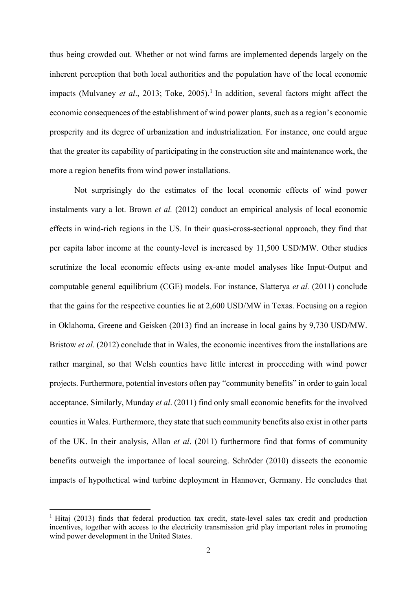thus being crowded out. Whether or not wind farms are implemented depends largely on the inherent perception that both local authorities and the population have of the local economic impacts (Mulvaney *et al.*, 2013; Toke, 2005).<sup>1</sup> In addition, several factors might affect the economic consequences of the establishment of wind power plants, such as a region's economic prosperity and its degree of urbanization and industrialization. For instance, one could argue that the greater its capability of participating in the construction site and maintenance work, the more a region benefits from wind power installations.

Not surprisingly do the estimates of the local economic effects of wind power instalments vary a lot. Brown *et al.* (2012) conduct an empirical analysis of local economic effects in wind-rich regions in the US. In their quasi-cross-sectional approach, they find that per capita labor income at the county-level is increased by 11,500 USD/MW. Other studies scrutinize the local economic effects using ex-ante model analyses like Input-Output and computable general equilibrium (CGE) models. For instance, Slatterya *et al.* (2011) conclude that the gains for the respective counties lie at 2,600 USD/MW in Texas. Focusing on a region in Oklahoma, Greene and Geisken (2013) find an increase in local gains by 9,730 USD/MW. Bristow *et al.* (2012) conclude that in Wales, the economic incentives from the installations are rather marginal, so that Welsh counties have little interest in proceeding with wind power projects. Furthermore, potential investors often pay "community benefits" in order to gain local acceptance. Similarly, Munday *et al*. (2011) find only small economic benefits for the involved counties in Wales. Furthermore, they state that such community benefits also exist in other parts of the UK. In their analysis, Allan *et al*. (2011) furthermore find that forms of community benefits outweigh the importance of local sourcing. Schröder (2010) dissects the economic impacts of hypothetical wind turbine deployment in Hannover, Germany. He concludes that

1

<sup>&</sup>lt;sup>1</sup> Hitaj (2013) finds that federal production tax credit, state-level sales tax credit and production incentives, together with access to the electricity transmission grid play important roles in promoting wind power development in the United States.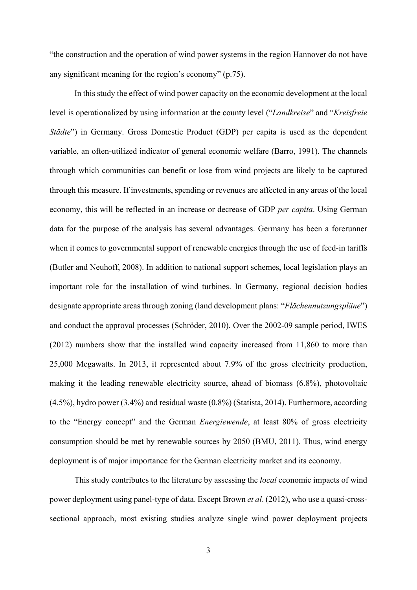"the construction and the operation of wind power systems in the region Hannover do not have any significant meaning for the region's economy" (p.75).

In this study the effect of wind power capacity on the economic development at the local level is operationalized by using information at the county level ("*Landkreise*" and "*Kreisfreie Städte*") in Germany. Gross Domestic Product (GDP) per capita is used as the dependent variable, an often-utilized indicator of general economic welfare (Barro, 1991). The channels through which communities can benefit or lose from wind projects are likely to be captured through this measure. If investments, spending or revenues are affected in any areas of the local economy, this will be reflected in an increase or decrease of GDP *per capita*. Using German data for the purpose of the analysis has several advantages. Germany has been a forerunner when it comes to governmental support of renewable energies through the use of feed-in tariffs (Butler and Neuhoff, 2008). In addition to national support schemes, local legislation plays an important role for the installation of wind turbines. In Germany, regional decision bodies designate appropriate areas through zoning (land development plans: "*Flächennutzungspläne*") and conduct the approval processes (Schröder, 2010). Over the 2002-09 sample period, IWES (2012) numbers show that the installed wind capacity increased from 11,860 to more than 25,000 Megawatts. In 2013, it represented about 7.9% of the gross electricity production, making it the leading renewable electricity source, ahead of biomass (6.8%), photovoltaic (4.5%), hydro power (3.4%) and residual waste (0.8%) (Statista, 2014). Furthermore, according to the "Energy concept" and the German *Energiewende*, at least 80% of gross electricity consumption should be met by renewable sources by 2050 (BMU, 2011). Thus, wind energy deployment is of major importance for the German electricity market and its economy.

This study contributes to the literature by assessing the *local* economic impacts of wind power deployment using panel-type of data. Except Brown *et al*. (2012), who use a quasi-crosssectional approach, most existing studies analyze single wind power deployment projects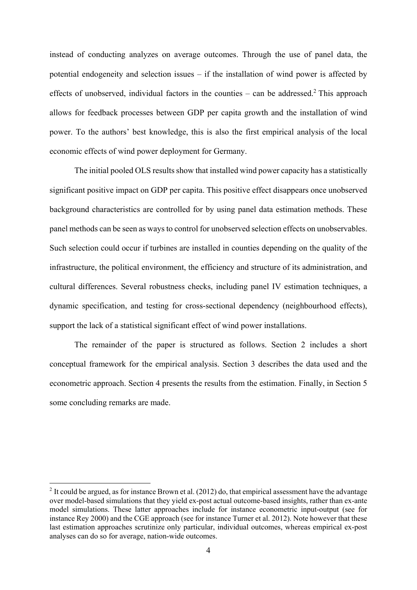instead of conducting analyzes on average outcomes. Through the use of panel data, the potential endogeneity and selection issues – if the installation of wind power is affected by effects of unobserved, individual factors in the counties  $-$  can be addressed.<sup>2</sup> This approach allows for feedback processes between GDP per capita growth and the installation of wind power. To the authors' best knowledge, this is also the first empirical analysis of the local economic effects of wind power deployment for Germany.

 The initial pooled OLS results show that installed wind power capacity has a statistically significant positive impact on GDP per capita. This positive effect disappears once unobserved background characteristics are controlled for by using panel data estimation methods. These panel methods can be seen as ways to control for unobserved selection effects on unobservables. Such selection could occur if turbines are installed in counties depending on the quality of the infrastructure, the political environment, the efficiency and structure of its administration, and cultural differences. Several robustness checks, including panel IV estimation techniques, a dynamic specification, and testing for cross-sectional dependency (neighbourhood effects), support the lack of a statistical significant effect of wind power installations.

The remainder of the paper is structured as follows. Section 2 includes a short conceptual framework for the empirical analysis. Section 3 describes the data used and the econometric approach. Section 4 presents the results from the estimation. Finally, in Section 5 some concluding remarks are made.

<u>.</u>

 $2$  It could be argued, as for instance Brown et al. (2012) do, that empirical assessment have the advantage over model-based simulations that they yield ex-post actual outcome-based insights, rather than ex-ante model simulations. These latter approaches include for instance econometric input-output (see for instance Rey 2000) and the CGE approach (see for instance Turner et al. 2012). Note however that these last estimation approaches scrutinize only particular, individual outcomes, whereas empirical ex-post analyses can do so for average, nation-wide outcomes.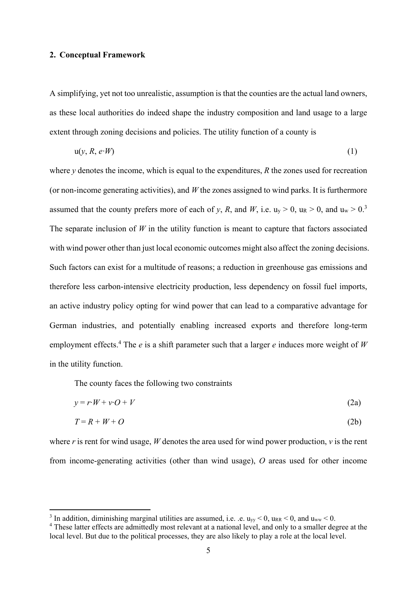### **2. Conceptual Framework**

A simplifying, yet not too unrealistic, assumption is that the counties are the actual land owners, as these local authorities do indeed shape the industry composition and land usage to a large extent through zoning decisions and policies. The utility function of a county is

$$
u(y, R, e \cdot W) \tag{1}
$$

where *y* denotes the income, which is equal to the expenditures, *R* the zones used for recreation (or non-income generating activities), and *W* the zones assigned to wind parks. It is furthermore assumed that the county prefers more of each of *y*, *R*, and *W*, i.e.  $u_y > 0$ ,  $u_R > 0$ , and  $u_w > 0$ .<sup>3</sup> The separate inclusion of  $W$  in the utility function is meant to capture that factors associated with wind power other than just local economic outcomes might also affect the zoning decisions. Such factors can exist for a multitude of reasons; a reduction in greenhouse gas emissions and therefore less carbon-intensive electricity production, less dependency on fossil fuel imports, an active industry policy opting for wind power that can lead to a comparative advantage for German industries, and potentially enabling increased exports and therefore long-term employment effects.<sup>4</sup> The *e* is a shift parameter such that a larger *e* induces more weight of *W* in the utility function.

The county faces the following two constraints

1

$$
y = r \cdot W + v \cdot O + V \tag{2a}
$$

$$
T = R + W + O \tag{2b}
$$

where *r* is rent for wind usage, *W* denotes the area used for wind power production, *v* is the rent from income-generating activities (other than wind usage), *O* areas used for other income

<sup>&</sup>lt;sup>3</sup> In addition, diminishing marginal utilities are assumed, i.e.  $e$ .  $u_{yy}$  < 0,  $u_{RR}$  < 0, and  $u_{ww}$  < 0.

<sup>&</sup>lt;sup>4</sup> These latter effects are admittedly most relevant at a national level, and only to a smaller degree at the local level. But due to the political processes, they are also likely to play a role at the local level.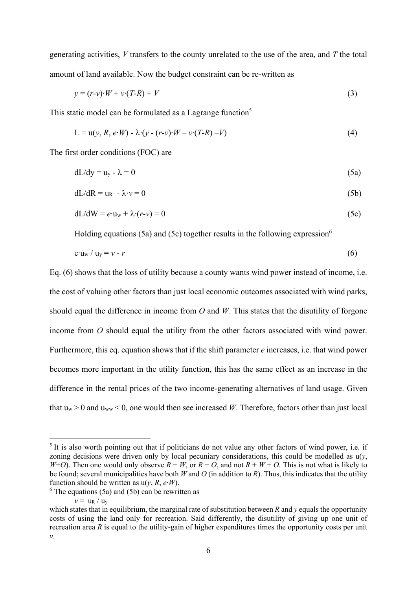generating activities, *V* transfers to the county unrelated to the use of the area, and *T* the total amount of land available. Now the budget constraint can be re-written as

$$
y = (r-v)\cdot W + v\cdot (T-R) + V\tag{3}
$$

This static model can be formulated as a Lagrange function<sup>5</sup>

$$
L = u(y, R, e^t W) - \lambda (y - (r - v) W - v (T - R) - V)
$$
\n
$$
(4)
$$

The first order conditions (FOC) are

$$
dL/dy = u_y - \lambda = 0 \tag{5a}
$$

$$
dL/dR = u_R - \lambda \cdot \nu = 0 \tag{5b}
$$

$$
dL/dW = e \cdot u_w + \lambda \cdot (r - v) = 0 \tag{5c}
$$

Holding equations (5a) and (5c) together results in the following expression<sup>6</sup>

$$
e u_w / u_y = v - r \tag{6}
$$

Eq. (6) shows that the loss of utility because a county wants wind power instead of income, i.e. the cost of valuing other factors than just local economic outcomes associated with wind parks, should equal the difference in income from  $O$  and  $W$ . This states that the disutility of forgone income from *O* should equal the utility from the other factors associated with wind power. Furthermore, this eq. equation shows that if the shift parameter *e* increases, i.e. that wind power becomes more important in the utility function, this has the same effect as an increase in the difference in the rental prices of the two income-generating alternatives of land usage. Given that  $u_w > 0$  and  $u_{ww} < 0$ , one would then see increased W. Therefore, factors other than just local

1

<sup>&</sup>lt;sup>5</sup> It is also worth pointing out that if politicians do not value any other factors of wind power, i.e. if zoning decisions were driven only by local pecuniary considerations, this could be modelled as u(*y*, *W*+*O*). Then one would only observe  $R + W$ , or  $R + O$ , and not  $R + W + O$ . This is not what is likely to be found; several municipalities have both *W* and *O* (in addition to *R*). Thus, this indicates that the utility function should be written as  $u(v, R, e<sup>·</sup>W)$ .

 $6$  The equations (5a) and (5b) can be rewritten as

 $v = u_R / u_v$ 

which states that in equilibrium, the marginal rate of substitution between *R* and *y* equals the opportunity costs of using the land only for recreation. Said differently, the disutility of giving up one unit of recreation area *R* is equal to the utility-gain of higher expenditures times the opportunity costs per unit *v*.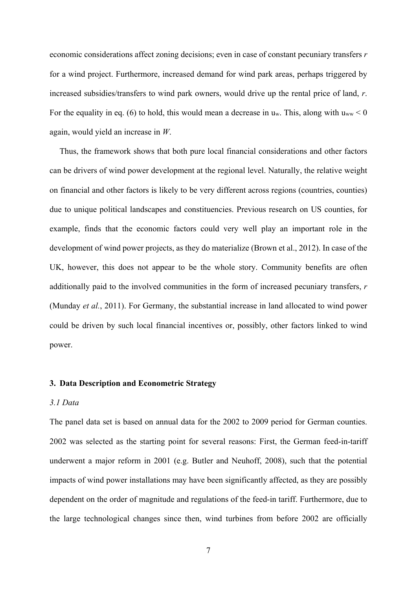economic considerations affect zoning decisions; even in case of constant pecuniary transfers *r* for a wind project. Furthermore, increased demand for wind park areas, perhaps triggered by increased subsidies/transfers to wind park owners, would drive up the rental price of land, *r*. For the equality in eq. (6) to hold, this would mean a decrease in  $u_w$ . This, along with  $u_{ww}$  < 0 again, would yield an increase in *W*.

Thus, the framework shows that both pure local financial considerations and other factors can be drivers of wind power development at the regional level. Naturally, the relative weight on financial and other factors is likely to be very different across regions (countries, counties) due to unique political landscapes and constituencies. Previous research on US counties, for example, finds that the economic factors could very well play an important role in the development of wind power projects, as they do materialize (Brown et al., 2012). In case of the UK, however, this does not appear to be the whole story. Community benefits are often additionally paid to the involved communities in the form of increased pecuniary transfers, *r* (Munday *et al.*, 2011). For Germany, the substantial increase in land allocated to wind power could be driven by such local financial incentives or, possibly, other factors linked to wind power.

#### **3. Data Description and Econometric Strategy**

#### *3.1 Data*

The panel data set is based on annual data for the 2002 to 2009 period for German counties. 2002 was selected as the starting point for several reasons: First, the German feed-in-tariff underwent a major reform in 2001 (e.g. Butler and Neuhoff, 2008), such that the potential impacts of wind power installations may have been significantly affected, as they are possibly dependent on the order of magnitude and regulations of the feed-in tariff. Furthermore, due to the large technological changes since then, wind turbines from before 2002 are officially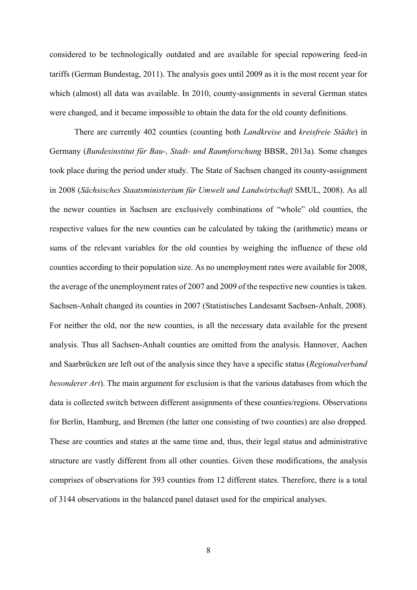considered to be technologically outdated and are available for special repowering feed-in tariffs (German Bundestag, 2011). The analysis goes until 2009 as it is the most recent year for which (almost) all data was available. In 2010, county-assignments in several German states were changed, and it became impossible to obtain the data for the old county definitions.

 There are currently 402 counties (counting both *Landkreise* and *kreisfreie Städte*) in Germany (*Bundesinstitut für Bau-, Stadt- und Raumforschung* BBSR, 2013a). Some changes took place during the period under study. The State of Sachsen changed its county-assignment in 2008 (*Sächsisches Staatsministerium für Umwelt und Landwirtschaft* SMUL, 2008). As all the newer counties in Sachsen are exclusively combinations of "whole" old counties, the respective values for the new counties can be calculated by taking the (arithmetic) means or sums of the relevant variables for the old counties by weighing the influence of these old counties according to their population size. As no unemployment rates were available for 2008, the average of the unemployment rates of 2007 and 2009 of the respective new counties is taken. Sachsen-Anhalt changed its counties in 2007 (Statistisches Landesamt Sachsen-Anhalt, 2008). For neither the old, nor the new counties, is all the necessary data available for the present analysis. Thus all Sachsen-Anhalt counties are omitted from the analysis. Hannover, Aachen and Saarbrücken are left out of the analysis since they have a specific status (*Regionalverband besonderer Art*). The main argument for exclusion is that the various databases from which the data is collected switch between different assignments of these counties/regions. Observations for Berlin, Hamburg, and Bremen (the latter one consisting of two counties) are also dropped. These are counties and states at the same time and, thus, their legal status and administrative structure are vastly different from all other counties. Given these modifications, the analysis comprises of observations for 393 counties from 12 different states. Therefore, there is a total of 3144 observations in the balanced panel dataset used for the empirical analyses.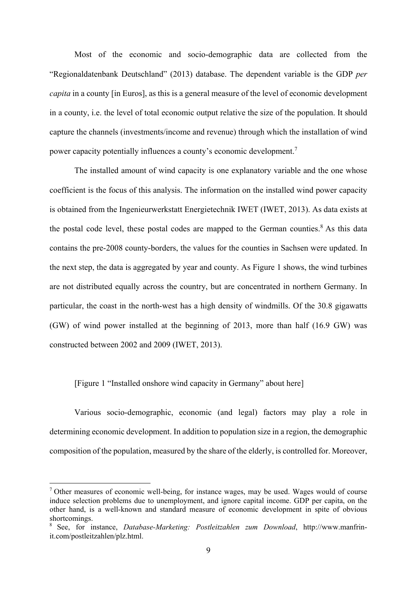Most of the economic and socio-demographic data are collected from the "Regionaldatenbank Deutschland" (2013) database. The dependent variable is the GDP *per capita* in a county [in Euros], as this is a general measure of the level of economic development in a county, i.e. the level of total economic output relative the size of the population. It should capture the channels (investments/income and revenue) through which the installation of wind power capacity potentially influences a county's economic development.<sup>7</sup>

The installed amount of wind capacity is one explanatory variable and the one whose coefficient is the focus of this analysis. The information on the installed wind power capacity is obtained from the Ingenieurwerkstatt Energietechnik IWET (IWET, 2013). As data exists at the postal code level, these postal codes are mapped to the German counties.<sup>8</sup> As this data contains the pre-2008 county-borders, the values for the counties in Sachsen were updated. In the next step, the data is aggregated by year and county. As Figure 1 shows, the wind turbines are not distributed equally across the country, but are concentrated in northern Germany. In particular, the coast in the north-west has a high density of windmills. Of the 30.8 gigawatts (GW) of wind power installed at the beginning of 2013, more than half (16.9 GW) was constructed between 2002 and 2009 (IWET, 2013).

#### [Figure 1 "Installed onshore wind capacity in Germany" about here]

<u>.</u>

Various socio-demographic, economic (and legal) factors may play a role in determining economic development. In addition to population size in a region, the demographic composition of the population, measured by the share of the elderly, is controlled for. Moreover,

<sup>&</sup>lt;sup>7</sup> Other measures of economic well-being, for instance wages, may be used. Wages would of course induce selection problems due to unemployment, and ignore capital income. GDP per capita, on the other hand, is a well-known and standard measure of economic development in spite of obvious shortcomings.

<sup>8</sup> See, for instance, *Database-Marketing: Postleitzahlen zum Download*, http://www.manfrinit.com/postleitzahlen/plz.html.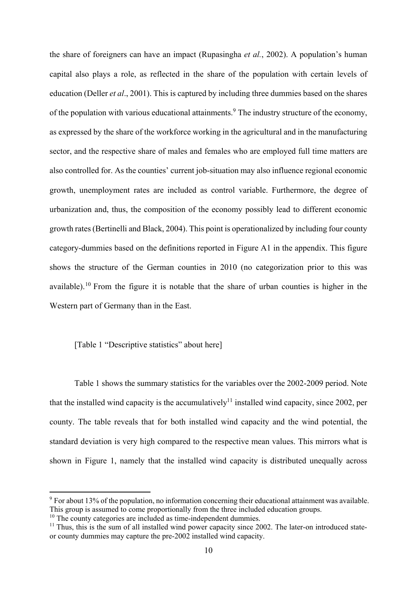the share of foreigners can have an impact (Rupasingha *et al.*, 2002). A population's human capital also plays a role, as reflected in the share of the population with certain levels of education (Deller *et al*., 2001). This is captured by including three dummies based on the shares of the population with various educational attainments.<sup>9</sup> The industry structure of the economy, as expressed by the share of the workforce working in the agricultural and in the manufacturing sector, and the respective share of males and females who are employed full time matters are also controlled for. As the counties' current job-situation may also influence regional economic growth, unemployment rates are included as control variable. Furthermore, the degree of urbanization and, thus, the composition of the economy possibly lead to different economic growth rates (Bertinelli and Black, 2004). This point is operationalized by including four county category-dummies based on the definitions reported in Figure A1 in the appendix. This figure shows the structure of the German counties in 2010 (no categorization prior to this was available).<sup>10</sup> From the figure it is notable that the share of urban counties is higher in the Western part of Germany than in the East.

#### [Table 1 "Descriptive statistics" about here]

Table 1 shows the summary statistics for the variables over the 2002-2009 period. Note that the installed wind capacity is the accumulatively<sup>11</sup> installed wind capacity, since 2002, per county. The table reveals that for both installed wind capacity and the wind potential, the standard deviation is very high compared to the respective mean values. This mirrors what is shown in Figure 1, namely that the installed wind capacity is distributed unequally across

1

<sup>&</sup>lt;sup>9</sup> For about 13% of the population, no information concerning their educational attainment was available. This group is assumed to come proportionally from the three included education groups.<br><sup>10</sup> The county categories are included as time-independent dummies.

 $11$  Thus, this is the sum of all installed wind power capacity since 2002. The later-on introduced stateor county dummies may capture the pre-2002 installed wind capacity.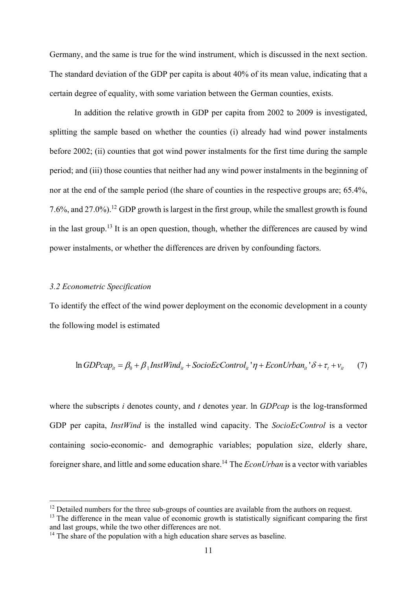Germany, and the same is true for the wind instrument, which is discussed in the next section. The standard deviation of the GDP per capita is about 40% of its mean value, indicating that a certain degree of equality, with some variation between the German counties, exists.

In addition the relative growth in GDP per capita from 2002 to 2009 is investigated, splitting the sample based on whether the counties (i) already had wind power instalments before 2002; (ii) counties that got wind power instalments for the first time during the sample period; and (iii) those counties that neither had any wind power instalments in the beginning of nor at the end of the sample period (the share of counties in the respective groups are; 65.4%, 7.6%, and 27.0%).12 GDP growth is largest in the first group, while the smallest growth is found in the last group.<sup>13</sup> It is an open question, though, whether the differences are caused by wind power instalments, or whether the differences are driven by confounding factors.

#### *3.2 Econometric Specification*

1

To identify the effect of the wind power deployment on the economic development in a county the following model is estimated

$$
\ln GDPcap_{it} = \beta_0 + \beta_1 InstWind_{it} + SocioEcControl_{it} \cdot \eta + EconUrban_{it} \cdot \delta + \tau_t + v_{it} \tag{7}
$$

where the subscripts *i* denotes county, and *t* denotes year. ln *GDPcap* is the log-transformed GDP per capita, *InstWind* is the installed wind capacity. The *SocioEcControl* is a vector containing socio-economic- and demographic variables; population size, elderly share, foreigner share, and little and some education share.14 The *EconUrban* is a vector with variables

 $12$  Detailed numbers for the three sub-groups of counties are available from the authors on request.

 $13$  The difference in the mean value of economic growth is statistically significant comparing the first and last groups, while the two other differences are not.

 $14$  The share of the population with a high education share serves as baseline.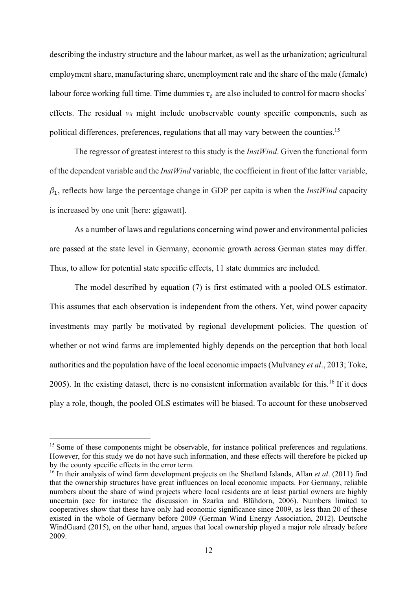describing the industry structure and the labour market, as well as the urbanization; agricultural employment share, manufacturing share, unemployment rate and the share of the male (female) labour force working full time. Time dummies  $\tau_t$  are also included to control for macro shocks' effects. The residual *vit* might include unobservable county specific components, such as political differences, preferences, regulations that all may vary between the counties.<sup>15</sup>

The regressor of greatest interest to this study is the *InstWind*. Given the functional form of the dependent variable and the *InstWind* variable, the coefficient in front of the latter variable,  $\beta_1$ , reflects how large the percentage change in GDP per capita is when the *InstWind* capacity is increased by one unit [here: gigawatt].

As a number of laws and regulations concerning wind power and environmental policies are passed at the state level in Germany, economic growth across German states may differ. Thus, to allow for potential state specific effects, 11 state dummies are included.

The model described by equation (7) is first estimated with a pooled OLS estimator. This assumes that each observation is independent from the others. Yet, wind power capacity investments may partly be motivated by regional development policies. The question of whether or not wind farms are implemented highly depends on the perception that both local authorities and the population have of the local economic impacts (Mulvaney *et al*., 2013; Toke, 2005). In the existing dataset, there is no consistent information available for this.16 If it does play a role, though, the pooled OLS estimates will be biased. To account for these unobserved

1

<sup>&</sup>lt;sup>15</sup> Some of these components might be observable, for instance political preferences and regulations. However, for this study we do not have such information, and these effects will therefore be picked up by the county specific effects in the error term.

<sup>16</sup> In their analysis of wind farm development projects on the Shetland Islands, Allan *et al*. (2011) find that the ownership structures have great influences on local economic impacts. For Germany, reliable numbers about the share of wind projects where local residents are at least partial owners are highly uncertain (see for instance the discussion in Szarka and Blühdorn, 2006). Numbers limited to cooperatives show that these have only had economic significance since 2009, as less than 20 of these existed in the whole of Germany before 2009 (German Wind Energy Association, 2012). Deutsche WindGuard (2015), on the other hand, argues that local ownership played a major role already before 2009.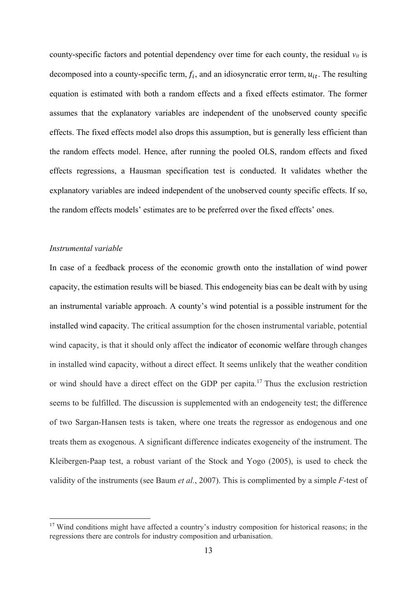county-specific factors and potential dependency over time for each county, the residual  $v_{it}$  is decomposed into a county-specific term,  $f_i$ , and an idiosyncratic error term,  $u_{it}$ . The resulting equation is estimated with both a random effects and a fixed effects estimator. The former assumes that the explanatory variables are independent of the unobserved county specific effects. The fixed effects model also drops this assumption, but is generally less efficient than the random effects model. Hence, after running the pooled OLS, random effects and fixed effects regressions, a Hausman specification test is conducted. It validates whether the explanatory variables are indeed independent of the unobserved county specific effects. If so, the random effects models' estimates are to be preferred over the fixed effects' ones.

#### *Instrumental variable*

<u>.</u>

In case of a feedback process of the economic growth onto the installation of wind power capacity, the estimation results will be biased. This endogeneity bias can be dealt with by using an instrumental variable approach. A county's wind potential is a possible instrument for the installed wind capacity. The critical assumption for the chosen instrumental variable, potential wind capacity, is that it should only affect the indicator of economic welfare through changes in installed wind capacity, without a direct effect. It seems unlikely that the weather condition or wind should have a direct effect on the GDP per capita.17 Thus the exclusion restriction seems to be fulfilled. The discussion is supplemented with an endogeneity test; the difference of two Sargan-Hansen tests is taken, where one treats the regressor as endogenous and one treats them as exogenous. A significant difference indicates exogeneity of the instrument. The Kleibergen-Paap test, a robust variant of the Stock and Yogo (2005), is used to check the validity of the instruments (see Baum *et al.*, 2007). This is complimented by a simple *F*-test of

<sup>&</sup>lt;sup>17</sup> Wind conditions might have affected a country's industry composition for historical reasons; in the regressions there are controls for industry composition and urbanisation.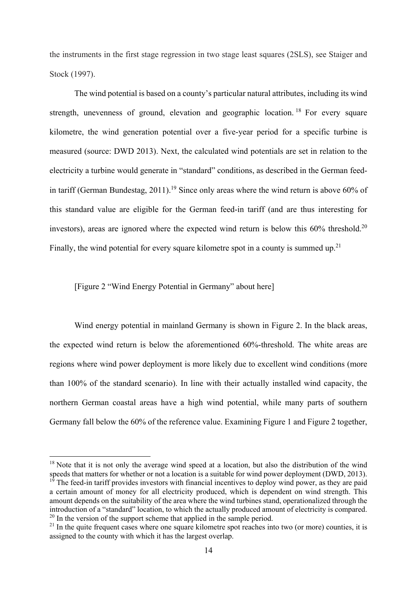the instruments in the first stage regression in two stage least squares (2SLS), see Staiger and Stock (1997).

The wind potential is based on a county's particular natural attributes, including its wind strength, unevenness of ground, elevation and geographic location.<sup>18</sup> For every square kilometre, the wind generation potential over a five-year period for a specific turbine is measured (source: DWD 2013). Next, the calculated wind potentials are set in relation to the electricity a turbine would generate in "standard" conditions, as described in the German feedin tariff (German Bundestag, 2011).<sup>19</sup> Since only areas where the wind return is above 60% of this standard value are eligible for the German feed-in tariff (and are thus interesting for investors), areas are ignored where the expected wind return is below this  $60\%$  threshold.<sup>20</sup> Finally, the wind potential for every square kilometre spot in a county is summed up.<sup>21</sup>

#### [Figure 2 "Wind Energy Potential in Germany" about here]

<u>.</u>

Wind energy potential in mainland Germany is shown in Figure 2. In the black areas, the expected wind return is below the aforementioned 60%-threshold. The white areas are regions where wind power deployment is more likely due to excellent wind conditions (more than 100% of the standard scenario). In line with their actually installed wind capacity, the northern German coastal areas have a high wind potential, while many parts of southern Germany fall below the 60% of the reference value. Examining Figure 1 and Figure 2 together,

 $18$  Note that it is not only the average wind speed at a location, but also the distribution of the wind speeds that matters for whether or not a location is a suitable for wind power deployment (DWD, 2013).

 $19$ <sup>19</sup> The feed-in tariff provides investors with financial incentives to deploy wind power, as they are paid a certain amount of money for all electricity produced, which is dependent on wind strength. This amount depends on the suitability of the area where the wind turbines stand, operationalized through the introduction of a "standard" location, to which the actually produced amount of electricity is compared.  $20 \text{ In the version of the support scheme that applied in the sample period.}$ 

 $21$  In the quite frequent cases where one square kilometre spot reaches into two (or more) counties, it is assigned to the county with which it has the largest overlap.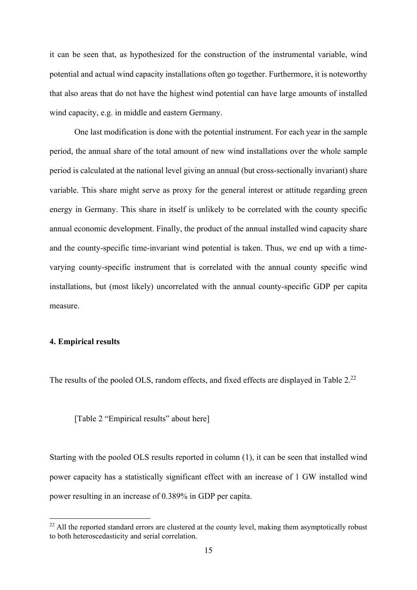it can be seen that, as hypothesized for the construction of the instrumental variable, wind potential and actual wind capacity installations often go together. Furthermore, it is noteworthy that also areas that do not have the highest wind potential can have large amounts of installed wind capacity, e.g. in middle and eastern Germany.

One last modification is done with the potential instrument. For each year in the sample period, the annual share of the total amount of new wind installations over the whole sample period is calculated at the national level giving an annual (but cross-sectionally invariant) share variable. This share might serve as proxy for the general interest or attitude regarding green energy in Germany. This share in itself is unlikely to be correlated with the county specific annual economic development. Finally, the product of the annual installed wind capacity share and the county-specific time-invariant wind potential is taken. Thus, we end up with a timevarying county-specific instrument that is correlated with the annual county specific wind installations, but (most likely) uncorrelated with the annual county-specific GDP per capita measure.

#### **4. Empirical results**

<u>.</u>

The results of the pooled OLS, random effects, and fixed effects are displayed in Table 2.<sup>22</sup>

[Table 2 "Empirical results" about here]

Starting with the pooled OLS results reported in column (1), it can be seen that installed wind power capacity has a statistically significant effect with an increase of 1 GW installed wind power resulting in an increase of 0.389% in GDP per capita.

 $22$  All the reported standard errors are clustered at the county level, making them asymptotically robust to both heteroscedasticity and serial correlation.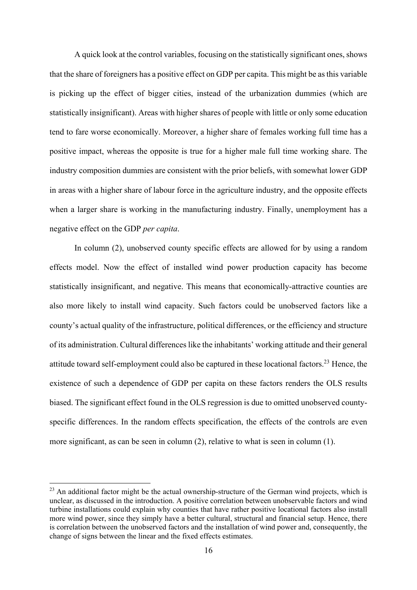A quick look at the control variables, focusing on the statistically significant ones, shows that the share of foreigners has a positive effect on GDP per capita. This might be as this variable is picking up the effect of bigger cities, instead of the urbanization dummies (which are statistically insignificant). Areas with higher shares of people with little or only some education tend to fare worse economically. Moreover, a higher share of females working full time has a positive impact, whereas the opposite is true for a higher male full time working share. The industry composition dummies are consistent with the prior beliefs, with somewhat lower GDP in areas with a higher share of labour force in the agriculture industry, and the opposite effects when a larger share is working in the manufacturing industry. Finally, unemployment has a negative effect on the GDP *per capita*.

In column (2), unobserved county specific effects are allowed for by using a random effects model. Now the effect of installed wind power production capacity has become statistically insignificant, and negative. This means that economically-attractive counties are also more likely to install wind capacity. Such factors could be unobserved factors like a county's actual quality of the infrastructure, political differences, or the efficiency and structure of its administration. Cultural differences like the inhabitants' working attitude and their general attitude toward self-employment could also be captured in these locational factors.<sup>23</sup> Hence, the existence of such a dependence of GDP per capita on these factors renders the OLS results biased. The significant effect found in the OLS regression is due to omitted unobserved countyspecific differences. In the random effects specification, the effects of the controls are even more significant, as can be seen in column (2), relative to what is seen in column (1).

<u>.</u>

 $^{23}$  An additional factor might be the actual ownership-structure of the German wind projects, which is unclear, as discussed in the introduction. A positive correlation between unobservable factors and wind turbine installations could explain why counties that have rather positive locational factors also install more wind power, since they simply have a better cultural, structural and financial setup. Hence, there is correlation between the unobserved factors and the installation of wind power and, consequently, the change of signs between the linear and the fixed effects estimates.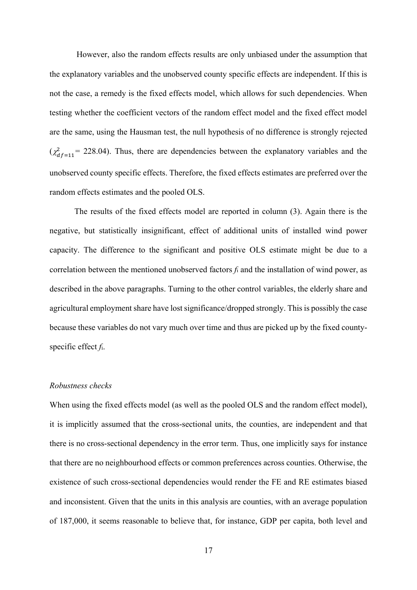However, also the random effects results are only unbiased under the assumption that the explanatory variables and the unobserved county specific effects are independent. If this is not the case, a remedy is the fixed effects model, which allows for such dependencies. When testing whether the coefficient vectors of the random effect model and the fixed effect model are the same, using the Hausman test, the null hypothesis of no difference is strongly rejected  $(\chi^2_{df=11} = 228.04)$ . Thus, there are dependencies between the explanatory variables and the unobserved county specific effects. Therefore, the fixed effects estimates are preferred over the random effects estimates and the pooled OLS.

The results of the fixed effects model are reported in column (3). Again there is the negative, but statistically insignificant, effect of additional units of installed wind power capacity. The difference to the significant and positive OLS estimate might be due to a correlation between the mentioned unobserved factors *f*i and the installation of wind power, as described in the above paragraphs. Turning to the other control variables, the elderly share and agricultural employment share have lost significance/dropped strongly. This is possibly the case because these variables do not vary much over time and thus are picked up by the fixed countyspecific effect *f*i.

#### *Robustness checks*

When using the fixed effects model (as well as the pooled OLS and the random effect model), it is implicitly assumed that the cross-sectional units, the counties, are independent and that there is no cross-sectional dependency in the error term. Thus, one implicitly says for instance that there are no neighbourhood effects or common preferences across counties. Otherwise, the existence of such cross-sectional dependencies would render the FE and RE estimates biased and inconsistent. Given that the units in this analysis are counties, with an average population of 187,000, it seems reasonable to believe that, for instance, GDP per capita, both level and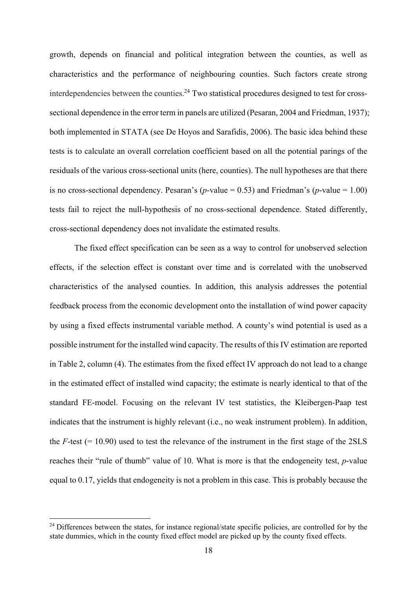growth, depends on financial and political integration between the counties, as well as characteristics and the performance of neighbouring counties. Such factors create strong interdependencies between the counties.<sup>24</sup> Two statistical procedures designed to test for crosssectional dependence in the error term in panels are utilized (Pesaran, 2004 and Friedman, 1937); both implemented in STATA (see De Hoyos and Sarafidis, 2006). The basic idea behind these tests is to calculate an overall correlation coefficient based on all the potential parings of the residuals of the various cross-sectional units (here, counties). The null hypotheses are that there is no cross-sectional dependency. Pesaran's (*p*-value = 0.53) and Friedman's (*p*-value = 1.00) tests fail to reject the null-hypothesis of no cross-sectional dependence. Stated differently, cross-sectional dependency does not invalidate the estimated results.

The fixed effect specification can be seen as a way to control for unobserved selection effects, if the selection effect is constant over time and is correlated with the unobserved characteristics of the analysed counties. In addition, this analysis addresses the potential feedback process from the economic development onto the installation of wind power capacity by using a fixed effects instrumental variable method. A county's wind potential is used as a possible instrument for the installed wind capacity. The results of this IV estimation are reported in Table 2, column (4). The estimates from the fixed effect IV approach do not lead to a change in the estimated effect of installed wind capacity; the estimate is nearly identical to that of the standard FE-model. Focusing on the relevant IV test statistics, the Kleibergen-Paap test indicates that the instrument is highly relevant (i.e., no weak instrument problem). In addition, the  $F$ -test ( $= 10.90$ ) used to test the relevance of the instrument in the first stage of the 2SLS reaches their "rule of thumb" value of 10. What is more is that the endogeneity test, *p*-value equal to 0.17, yields that endogeneity is not a problem in this case. This is probably because the

<u>.</u>

<sup>&</sup>lt;sup>24</sup> Differences between the states, for instance regional/state specific policies, are controlled for by the state dummies, which in the county fixed effect model are picked up by the county fixed effects.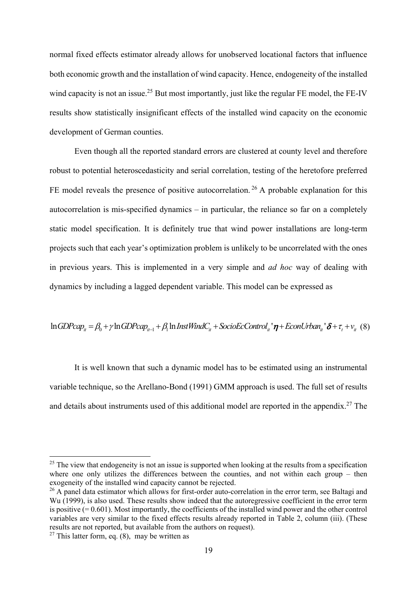normal fixed effects estimator already allows for unobserved locational factors that influence both economic growth and the installation of wind capacity. Hence, endogeneity of the installed wind capacity is not an issue.<sup>25</sup> But most importantly, just like the regular FE model, the FE-IV results show statistically insignificant effects of the installed wind capacity on the economic development of German counties.

Even though all the reported standard errors are clustered at county level and therefore robust to potential heteroscedasticity and serial correlation, testing of the heretofore preferred FE model reveals the presence of positive autocorrelation.<sup>26</sup> A probable explanation for this autocorrelation is mis-specified dynamics – in particular, the reliance so far on a completely static model specification. It is definitely true that wind power installations are long-term projects such that each year's optimization problem is unlikely to be uncorrelated with the ones in previous years. This is implemented in a very simple and *ad hoc* way of dealing with dynamics by including a lagged dependent variable. This model can be expressed as

$$
\ln GDPcap_{ii} = \beta_0 + \gamma \ln GDPcap_{ii-1} + \beta_1 \ln InstWindow_{ii} + SocioEcControl_{ii} \cdot \eta + EconUrban_{ii} \cdot \delta + \tau_t + \nu_{ii} \quad (8)
$$

It is well known that such a dynamic model has to be estimated using an instrumental variable technique, so the Arellano-Bond (1991) GMM approach is used. The full set of results and details about instruments used of this additional model are reported in the appendix.<sup>27</sup> The

<u>.</u>

 $25$  The view that endogeneity is not an issue is supported when looking at the results from a specification where one only utilizes the differences between the counties, and not within each group – then exogeneity of the installed wind capacity cannot be rejected.

<sup>&</sup>lt;sup>26</sup> A panel data estimator which allows for first-order auto-correlation in the error term, see Baltagi and Wu (1999), is also used. These results show indeed that the autoregressive coefficient in the error term is positive  $(= 0.601)$ . Most importantly, the coefficients of the installed wind power and the other control variables are very similar to the fixed effects results already reported in Table 2, column (iii). (These results are not reported, but available from the authors on request).

<sup>&</sup>lt;sup>27</sup> This latter form, eq.  $(8)$ , may be written as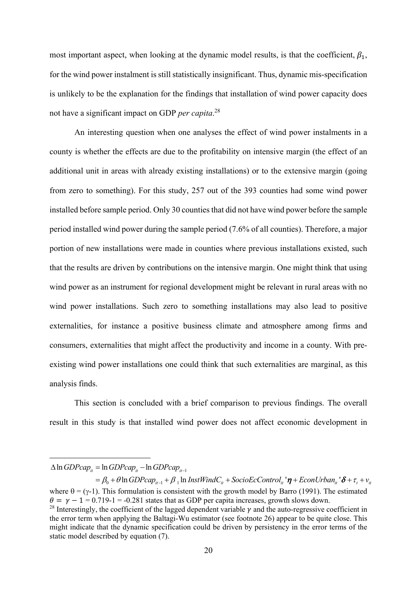most important aspect, when looking at the dynamic model results, is that the coefficient,  $\beta_1$ , for the wind power instalment is still statistically insignificant. Thus, dynamic mis-specification is unlikely to be the explanation for the findings that installation of wind power capacity does not have a significant impact on GDP *per capita*. 28

An interesting question when one analyses the effect of wind power instalments in a county is whether the effects are due to the profitability on intensive margin (the effect of an additional unit in areas with already existing installations) or to the extensive margin (going from zero to something). For this study, 257 out of the 393 counties had some wind power installed before sample period. Only 30 counties that did not have wind power before the sample period installed wind power during the sample period (7.6% of all counties). Therefore, a major portion of new installations were made in counties where previous installations existed, such that the results are driven by contributions on the intensive margin. One might think that using wind power as an instrument for regional development might be relevant in rural areas with no wind power installations. Such zero to something installations may also lead to positive externalities, for instance a positive business climate and atmosphere among firms and consumers, externalities that might affect the productivity and income in a county. With preexisting wind power installations one could think that such externalities are marginal, as this analysis finds.

This section is concluded with a brief comparison to previous findings. The overall result in this study is that installed wind power does not affect economic development in

1

 $\Delta \ln GDPcap_{it} = \ln GDPcap_{it} - \ln GDPcap_{it-1}$ 

 $\mathcal{A} = \beta_0 + \theta \ln GDPcap_{i_t-1} + \beta \ln InstWindow_{i_t} + SocioEcControl_{i_t} \cdot \pmb{\eta} + EconUrban_{i_t} \cdot \pmb{\delta} + \tau_t + \nu_{i_t}$ where  $\theta = (\gamma - 1)$ . This formulation is consistent with the growth model by Barro (1991). The estimated  $\theta = \gamma - 1 = 0.719 - 1 = -0.281$  states that as GDP per capita increases, growth slows down.

<sup>&</sup>lt;sup>28</sup> Interestingly, the coefficient of the lagged dependent variable  $\nu$  and the auto-regressive coefficient in the error term when applying the Baltagi-Wu estimator (see footnote 26) appear to be quite close. This might indicate that the dynamic specification could be driven by persistency in the error terms of the static model described by equation (7).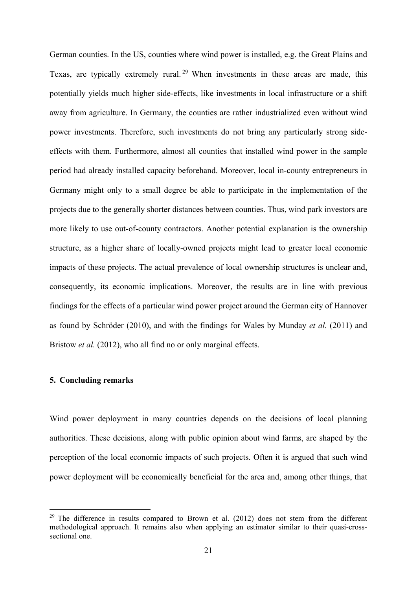German counties. In the US, counties where wind power is installed, e.g. the Great Plains and Texas, are typically extremely rural.<sup>29</sup> When investments in these areas are made, this potentially yields much higher side-effects, like investments in local infrastructure or a shift away from agriculture. In Germany, the counties are rather industrialized even without wind power investments. Therefore, such investments do not bring any particularly strong sideeffects with them. Furthermore, almost all counties that installed wind power in the sample period had already installed capacity beforehand. Moreover, local in-county entrepreneurs in Germany might only to a small degree be able to participate in the implementation of the projects due to the generally shorter distances between counties. Thus, wind park investors are more likely to use out-of-county contractors. Another potential explanation is the ownership structure, as a higher share of locally-owned projects might lead to greater local economic impacts of these projects. The actual prevalence of local ownership structures is unclear and, consequently, its economic implications. Moreover, the results are in line with previous findings for the effects of a particular wind power project around the German city of Hannover as found by Schröder (2010), and with the findings for Wales by Munday *et al.* (2011) and Bristow *et al.* (2012), who all find no or only marginal effects.

#### **5. Concluding remarks**

1

Wind power deployment in many countries depends on the decisions of local planning authorities. These decisions, along with public opinion about wind farms, are shaped by the perception of the local economic impacts of such projects. Often it is argued that such wind power deployment will be economically beneficial for the area and, among other things, that

 $29$  The difference in results compared to Brown et al. (2012) does not stem from the different methodological approach. It remains also when applying an estimator similar to their quasi-crosssectional one.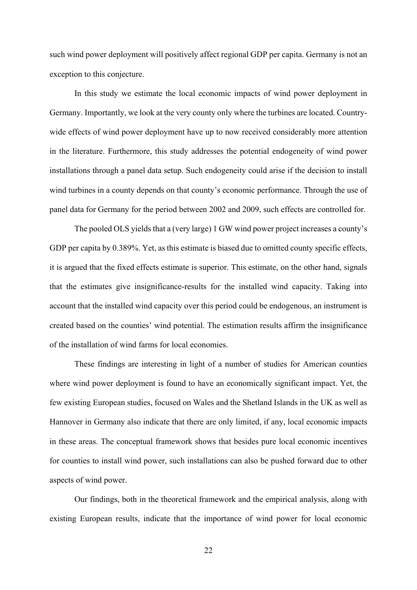such wind power deployment will positively affect regional GDP per capita. Germany is not an exception to this conjecture.

In this study we estimate the local economic impacts of wind power deployment in Germany. Importantly, we look at the very county only where the turbines are located. Countrywide effects of wind power deployment have up to now received considerably more attention in the literature. Furthermore, this study addresses the potential endogeneity of wind power installations through a panel data setup. Such endogeneity could arise if the decision to install wind turbines in a county depends on that county's economic performance. Through the use of panel data for Germany for the period between 2002 and 2009, such effects are controlled for.

The pooled OLS yields that a (very large) 1 GW wind power project increases a county's GDP per capita by 0.389%. Yet, as this estimate is biased due to omitted county specific effects, it is argued that the fixed effects estimate is superior. This estimate, on the other hand, signals that the estimates give insignificance-results for the installed wind capacity. Taking into account that the installed wind capacity over this period could be endogenous, an instrument is created based on the counties' wind potential. The estimation results affirm the insignificance of the installation of wind farms for local economies.

These findings are interesting in light of a number of studies for American counties where wind power deployment is found to have an economically significant impact. Yet, the few existing European studies, focused on Wales and the Shetland Islands in the UK as well as Hannover in Germany also indicate that there are only limited, if any, local economic impacts in these areas. The conceptual framework shows that besides pure local economic incentives for counties to install wind power, such installations can also be pushed forward due to other aspects of wind power.

Our findings, both in the theoretical framework and the empirical analysis, along with existing European results, indicate that the importance of wind power for local economic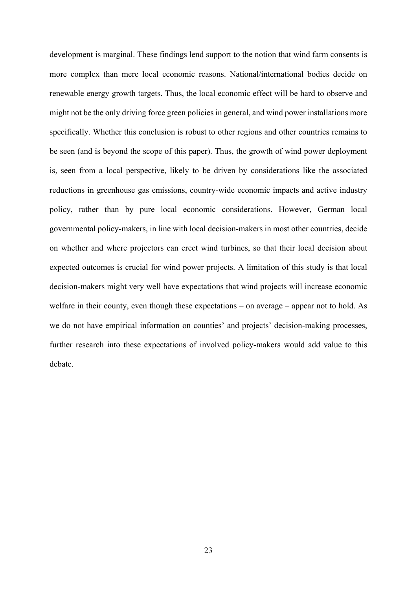development is marginal. These findings lend support to the notion that wind farm consents is more complex than mere local economic reasons. National/international bodies decide on renewable energy growth targets. Thus, the local economic effect will be hard to observe and might not be the only driving force green policies in general, and wind power installations more specifically. Whether this conclusion is robust to other regions and other countries remains to be seen (and is beyond the scope of this paper). Thus, the growth of wind power deployment is, seen from a local perspective, likely to be driven by considerations like the associated reductions in greenhouse gas emissions, country-wide economic impacts and active industry policy, rather than by pure local economic considerations. However, German local governmental policy-makers, in line with local decision-makers in most other countries, decide on whether and where projectors can erect wind turbines, so that their local decision about expected outcomes is crucial for wind power projects. A limitation of this study is that local decision-makers might very well have expectations that wind projects will increase economic welfare in their county, even though these expectations – on average – appear not to hold. As we do not have empirical information on counties' and projects' decision-making processes, further research into these expectations of involved policy-makers would add value to this debate.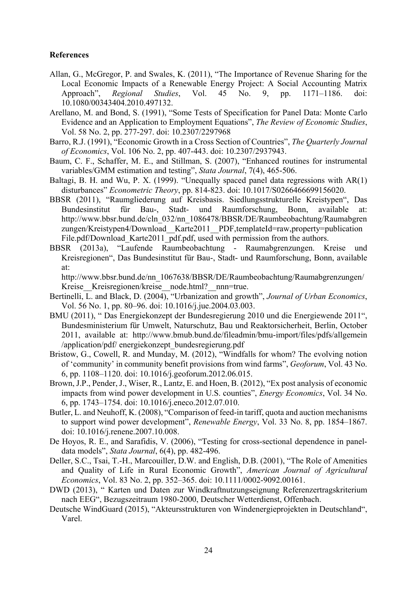#### **References**

- Allan, G., McGregor, P. and Swales, K. (2011), "The Importance of Revenue Sharing for the Local Economic Impacts of a Renewable Energy Project: A Social Accounting Matrix Approach", *Regional Studies*, Vol. 45 No. 9, pp. 1171–1186. doi: 10.1080/00343404.2010.497132.
- Arellano, M. and Bond, S. (1991), "Some Tests of Specification for Panel Data: Monte Carlo Evidence and an Application to Employment Equations", *The Review of Economic Studies*, Vol. 58 No. 2, pp. 277-297. doi: 10.2307/2297968
- Barro, R.J. (1991), "Economic Growth in a Cross Section of Countries", *The Quarterly Journal of Economics*, Vol. 106 No. 2, pp. 407-443. doi: 10.2307/2937943.
- Baum, C. F., Schaffer, M. E., and Stillman, S. (2007), "Enhanced routines for instrumental variables/GMM estimation and testing", *Stata Journal*, 7(4), 465-506.
- Baltagi, B. H. and Wu, P. X. (1999). "Unequally spaced panel data regressions with AR(1) disturbances" *Econometric Theory*, pp. 814-823. doi: 10.1017/S0266466699156020.
- BBSR (2011), "Raumgliederung auf Kreisbasis. Siedlungsstrukturelle Kreistypen", Das Bundesinstitut für Bau-, Stadt- und Raumforschung, Bonn, available at: http://www.bbsr.bund.de/cln\_032/nn\_1086478/BBSR/DE/Raumbeobachtung/Raumabgren zungen/Kreistypen4/Download\_\_Karte2011\_\_PDF,templateId=raw,property=publication File.pdf/Download Karte2011 pdf.pdf, used with permission from the authors.
- BBSR (2013a), "Laufende Raumbeobachtung Raumabgrenzungen. Kreise und Kreisregionen", Das Bundesinstitut für Bau-, Stadt- und Raumforschung, Bonn, available at:

http://www.bbsr.bund.de/nn\_1067638/BBSR/DE/Raumbeobachtung/Raumabgrenzungen/ Kreise Kreisregionen/kreise node.html? nnn=true.

- Bertinelli, L. and Black, D. (2004), "Urbanization and growth", *Journal of Urban Economics*, Vol. 56 No. 1, pp. 80–96. doi: 10.1016/j.jue.2004.03.003.
- BMU (2011), " Das Energiekonzept der Bundesregierung 2010 und die Energiewende 2011", Bundesministerium für Umwelt, Naturschutz, Bau und Reaktorsicherheit, Berlin, October 2011, available at: http://www.bmub.bund.de/fileadmin/bmu-import/files/pdfs/allgemein /application/pdf/ energiekonzept\_bundesregierung.pdf
- Bristow, G., Cowell, R. and Munday, M. (2012), "Windfalls for whom? The evolving notion of 'community' in community benefit provisions from wind farms", *Geoforum*, Vol. 43 No. 6, pp. 1108–1120. doi: 10.1016/j.geoforum.2012.06.015.
- Brown, J.P., Pender, J., Wiser, R., Lantz, E. and Hoen, B. (2012), "Ex post analysis of economic impacts from wind power development in U.S. counties", *Energy Economics*, Vol. 34 No. 6, pp. 1743–1754. doi: 10.1016/j.eneco.2012.07.010.
- Butler, L. and Neuhoff, K. (2008), "Comparison of feed-in tariff, quota and auction mechanisms to support wind power development", *Renewable Energy*, Vol. 33 No. 8, pp. 1854–1867. doi: 10.1016/j.renene.2007.10.008.
- De Hoyos, R. E., and Sarafidis, V. (2006), "Testing for cross-sectional dependence in paneldata models", *Stata Journal*, 6(4), pp. 482-496.
- Deller, S.C., Tsai, T.-H., Marcouiller, D.W. and English, D.B. (2001), "The Role of Amenities and Quality of Life in Rural Economic Growth", *American Journal of Agricultural Economics*, Vol. 83 No. 2, pp. 352–365. doi: 10.1111/0002-9092.00161.
- DWD (2013), " Karten und Daten zur Windkraftnutzungseignung Referenzertragskriterium nach EEG", Bezugszeitraum 1980-2000, Deutscher Wetterdienst, Offenbach.
- Deutsche WindGuard (2015), "Akteursstrukturen von Windenergieprojekten in Deutschland", Varel.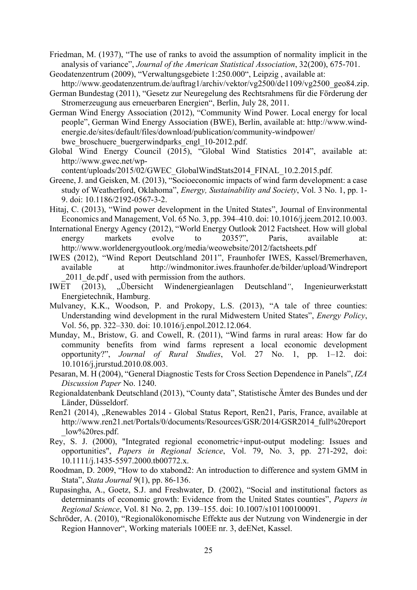Friedman, M. (1937), "The use of ranks to avoid the assumption of normality implicit in the analysis of variance", *Journal of the American Statistical Association*, 32(200), 675-701.

Geodatenzentrum (2009), "Verwaltungsgebiete 1:250.000", Leipzig , available at:

http://www.geodatenzentrum.de/auftrag1/archiv/vektor/vg2500/de1109/vg2500\_geo84.zip. German Bundestag (2011), "Gesetz zur Neuregelung des Rechtsrahmens für die Förderung der

- Stromerzeugung aus erneuerbaren Energien", Berlin, July 28, 2011.
- German Wind Energy Association (2012), "Community Wind Power. Local energy for local people", German Wind Energy Association (BWE), Berlin, available at: http://www.windenergie.de/sites/default/files/download/publication/community-windpower/ bwe broschuere buergerwindparks engl 10-2012.pdf.
- Global Wind Energy Council (2015), "Global Wind Statistics 2014", available at: http://www.gwec.net/wp-

content/uploads/2015/02/GWEC\_GlobalWindStats2014\_FINAL\_10.2.2015.pdf.

- Greene, J. and Geisken, M. (2013), "Socioeconomic impacts of wind farm development: a case study of Weatherford, Oklahoma", *Energy, Sustainability and Society*, Vol. 3 No. 1, pp. 1- 9. doi: 10.1186/2192-0567-3-2.
- Hitaj, C. (2013), "Wind power development in the United States", Journal of Environmental Economics and Management, Vol. 65 No. 3, pp. 394–410. doi: 10.1016/j.jeem.2012.10.003.
- International Energy Agency (2012), "World Energy Outlook 2012 Factsheet. How will global energy markets evolve to 2035?", Paris, available at: http://www.worldenergyoutlook.org/media/weowebsite/2012/factsheets.pdf
- IWES (2012), "Wind Report Deutschland 2011", Fraunhofer IWES, Kassel/Bremerhaven, available at http://windmonitor.iwes.fraunhofer.de/bilder/upload/Windreport 2011 de.pdf, used with permission from the authors.
- IWET (2013), "Übersicht Windenergieanlagen Deutschland*"*, Ingenieurwerkstatt Energietechnik, Hamburg.
- Mulvaney, K.K., Woodson, P. and Prokopy, L.S. (2013), "A tale of three counties: Understanding wind development in the rural Midwestern United States", *Energy Policy*, Vol. 56, pp. 322–330. doi: 10.1016/j.enpol.2012.12.064.
- Munday, M., Bristow, G. and Cowell, R. (2011), "Wind farms in rural areas: How far do community benefits from wind farms represent a local economic development opportunity?", *Journal of Rural Studies*, Vol. 27 No. 1, pp. 1–12. doi: 10.1016/j.jrurstud.2010.08.003.
- Pesaran, M. H (2004), "General Diagnostic Tests for Cross Section Dependence in Panels", *IZA Discussion Paper* No. 1240.
- Regionaldatenbank Deutschland (2013), "County data", Statistische Ämter des Bundes und der Länder, Düsseldorf.
- Ren21 (2014), "Renewables 2014 Global Status Report, Ren21, Paris, France, available at http://www.ren21.net/Portals/0/documents/Resources/GSR/2014/GSR2014\_full%20report  $low\%20$ res.pdf.
- Rey, S. J. (2000), "Integrated regional econometric+input-output modeling: Issues and opportunities", *Papers in Regional Science*, Vol. 79, No. 3, pp. 271-292, doi: 10.1111/j.1435-5597.2000.tb00772.x.
- Roodman, D. 2009, "How to do xtabond2: An introduction to difference and system GMM in Stata", *Stata Journal* 9(1), pp. 86-136.
- Rupasingha, A., Goetz, S.J. and Freshwater, D. (2002), "Social and institutional factors as determinants of economic growth: Evidence from the United States counties", *Papers in Regional Science*, Vol. 81 No. 2, pp. 139–155. doi: 10.1007/s101100100091.
- Schröder, A. (2010), "Regionalökonomische Effekte aus der Nutzung von Windenergie in der Region Hannover", Working materials 100EE nr. 3, deENet, Kassel.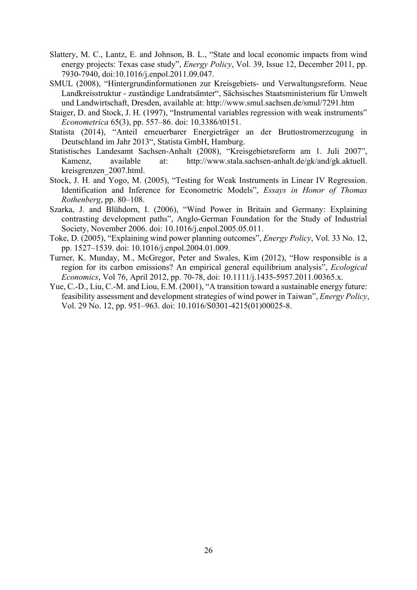- Slattery, M. C., Lantz, E. and Johnson, B. L., "State and local economic impacts from wind energy projects: Texas case study", *Energy Policy*, Vol. 39, Issue 12, December 2011, pp. 7930-7940, doi:10.1016/j.enpol.2011.09.047.
- SMUL (2008), "Hintergrundinformationen zur Kreisgebiets- und Verwaltungsreform. Neue Landkreisstruktur - zuständige Landratsämter", Sächsisches Staatsministerium für Umwelt und Landwirtschaft, Dresden, available at: http://www.smul.sachsen.de/smul/7291.htm
- Staiger, D. and Stock, J. H. (1997), "Instrumental variables regression with weak instruments" *Econometrica* 65(3), pp. 557–86. doi: 10.3386/t0151.
- Statista (2014), "Anteil erneuerbarer Energieträger an der Bruttostromerzeugung in Deutschland im Jahr 2013", Statista GmbH, Hamburg.
- Statistisches Landesamt Sachsen-Anhalt (2008), "Kreisgebietsreform am 1. Juli 2007", Kamenz, available at: http://www.stala.sachsen-anhalt.de/gk/and/gk.aktuell. kreisgrenzen\_2007.html.
- Stock, J. H. and Yogo, M. (2005), "Testing for Weak Instruments in Linear IV Regression. Identification and Inference for Econometric Models", *Essays in Honor of Thomas Rothenberg*, pp. 80–108.
- Szarka, J. and Blühdorn, I. (2006), "Wind Power in Britain and Germany: Explaining contrasting development paths", Anglo-German Foundation for the Study of Industrial Society, November 2006. doi: 10.1016/j.enpol.2005.05.011.
- Toke, D. (2005), "Explaining wind power planning outcomes", *Energy Policy*, Vol. 33 No. 12, pp. 1527–1539. doi: 10.1016/j.enpol.2004.01.009.
- Turner, K. Munday, M., McGregor, Peter and Swales, Kim (2012), "How responsible is a region for its carbon emissions? An empirical general equilibrium analysis", *Ecological Economics*, Vol 76, April 2012, pp. 70-78, doi: 10.1111/j.1435-5957.2011.00365.x.
- Yue, C.-D., Liu, C.-M. and Liou, E.M. (2001), "A transition toward a sustainable energy future: feasibility assessment and development strategies of wind power in Taiwan", *Energy Policy*, Vol. 29 No. 12, pp. 951–963. doi: 10.1016/S0301-4215(01)00025-8.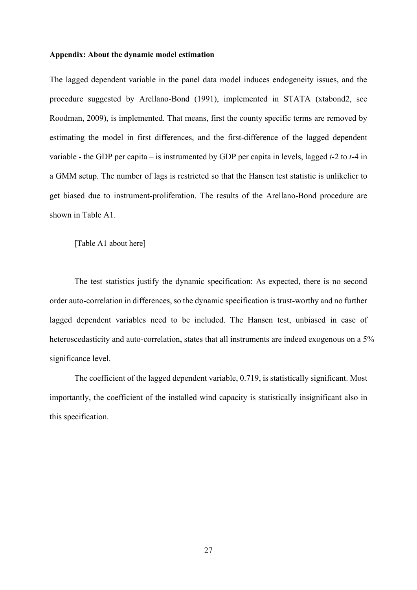#### **Appendix: About the dynamic model estimation**

The lagged dependent variable in the panel data model induces endogeneity issues, and the procedure suggested by Arellano-Bond (1991), implemented in STATA (xtabond2, see Roodman, 2009), is implemented. That means, first the county specific terms are removed by estimating the model in first differences, and the first-difference of the lagged dependent variable - the GDP per capita – is instrumented by GDP per capita in levels, lagged *t*-2 to *t*-4 in a GMM setup. The number of lags is restricted so that the Hansen test statistic is unlikelier to get biased due to instrument-proliferation. The results of the Arellano-Bond procedure are shown in Table A1.

[Table A1 about here]

The test statistics justify the dynamic specification: As expected, there is no second order auto-correlation in differences, so the dynamic specification is trust-worthy and no further lagged dependent variables need to be included. The Hansen test, unbiased in case of heteroscedasticity and auto-correlation, states that all instruments are indeed exogenous on a 5% significance level.

The coefficient of the lagged dependent variable, 0.719, is statistically significant. Most importantly, the coefficient of the installed wind capacity is statistically insignificant also in this specification.

27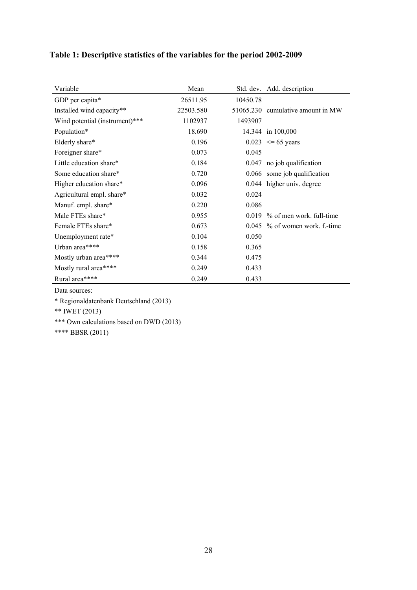### **Table 1: Descriptive statistics of the variables for the period 2002-2009**

| Variable                       | Mean      |          | Std. dev. Add. description        |
|--------------------------------|-----------|----------|-----------------------------------|
| GDP per capita*                | 26511.95  | 10450.78 |                                   |
| Installed wind capacity**      | 22503.580 |          | 51065.230 cumulative amount in MW |
| Wind potential (instrument)*** | 1102937   | 1493907  |                                   |
| Population*                    | 18.690    |          | 14.344 in 100,000                 |
| Elderly share*                 | 0.196     |          | $0.023 \le 65$ years              |
| Foreigner share*               | 0.073     | 0.045    |                                   |
| Little education share*        | 0.184     |          | $0.047$ no job qualification      |
| Some education share*          | 0.720     |          | 0.066 some job qualification      |
| Higher education share*        | 0.096     |          | 0.044 higher univ. degree         |
| Agricultural empl. share*      | 0.032     | 0.024    |                                   |
| Manuf. empl. share*            | 0.220     | 0.086    |                                   |
| Male FTEs share*               | 0.955     |          | $0.019$ % of men work, full-time  |
| Female FTEs share*             | 0.673     |          | $0.045$ % of women work. f.-time  |
| Unemployment rate*             | 0.104     | 0.050    |                                   |
| Urban area****                 | 0.158     | 0.365    |                                   |
| Mostly urban area****          | 0.344     | 0.475    |                                   |
| Mostly rural area****          | 0.249     | 0.433    |                                   |
| Rural area****                 | 0.249     | 0.433    |                                   |

Data sources:

\* Regionaldatenbank Deutschland (2013)

\*\* IWET (2013)

\*\*\* Own calculations based on DWD (2013)

\*\*\*\* BBSR (2011)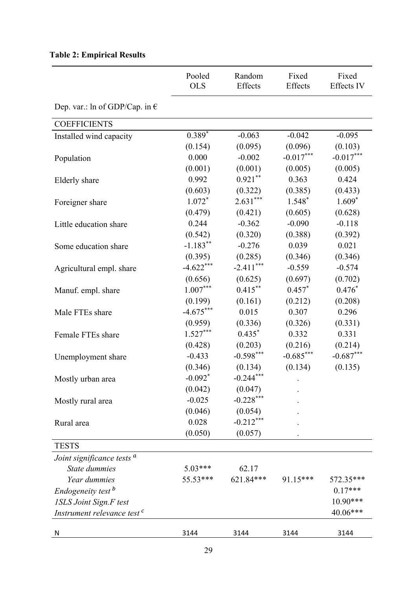# **Table 2: Empirical Results**

|                                         | Pooled<br><b>OLS</b>  | Random<br>Effects | Fixed<br>Effects | Fixed<br><b>Effects IV</b> |
|-----------------------------------------|-----------------------|-------------------|------------------|----------------------------|
| Dep. var.: ln of GDP/Cap. in $\epsilon$ |                       |                   |                  |                            |
| <b>COEFFICIENTS</b>                     |                       |                   |                  |                            |
| Installed wind capacity                 | $0.389*$              | $-0.063$          | $-0.042$         | $-0.095$                   |
|                                         | (0.154)               | (0.095)           | (0.096)          | (0.103)                    |
| Population                              | 0.000                 | $-0.002$          | $-0.017***$      | $-0.017***$                |
|                                         | (0.001)               | (0.001)           | (0.005)          | (0.005)                    |
| Elderly share                           | 0.992                 | $0.921***$        | 0.363            | 0.424                      |
|                                         | (0.603)               | (0.322)           | (0.385)          | (0.433)                    |
| Foreigner share                         | $1.072*$              | $2.631***$        | $1.548*$         | $1.609*$                   |
|                                         | (0.479)               | (0.421)           | (0.605)          | (0.628)                    |
| Little education share                  | 0.244                 | $-0.362$          | $-0.090$         | $-0.118$                   |
|                                         | (0.542)               | (0.320)           | (0.388)          | (0.392)                    |
| Some education share                    | $-1.183***$           | $-0.276$          | 0.039            | 0.021                      |
|                                         | (0.395)               | (0.285)           | (0.346)          | (0.346)                    |
| Agricultural empl. share                | $-4.622***$           | $-2.411***$       | $-0.559$         | $-0.574$                   |
|                                         | (0.656)               | (0.625)           | (0.697)          | (0.702)                    |
| Manuf. empl. share                      | $1.007***$            | $0.415***$        | $0.457*$         | $0.476*$                   |
|                                         | (0.199)               | (0.161)           | (0.212)          | (0.208)                    |
| Male FTEs share                         | $-4.675***$           | 0.015             | 0.307            | 0.296                      |
|                                         | (0.959)               | (0.336)           | (0.326)          | (0.331)                    |
| Female FTEs share                       | $1.527***$            | $0.435*$          | 0.332            | 0.331                      |
|                                         | (0.428)               | (0.203)           | (0.216)          | (0.214)                    |
| Unemployment share                      | $-0.433$              | $-0.598***$       | $-0.685***$      | $-0.687***$                |
|                                         | (0.346)               | (0.134)           | (0.134)          | (0.135)                    |
| Mostly urban area                       | $-0.092$ <sup>*</sup> | $-0.244***$       |                  |                            |
|                                         | (0.042)               | (0.047)           |                  |                            |
| Mostly rural area                       | $-0.025$              | $-0.228***$       |                  |                            |
|                                         | (0.046)               | (0.054)           |                  |                            |
| Rural area                              | 0.028                 | $-0.212***$       |                  |                            |
|                                         | (0.050)               | (0.057)           |                  |                            |
| <b>TESTS</b>                            |                       |                   |                  |                            |
| Joint significance tests <sup>a</sup>   |                       |                   |                  |                            |
| State dummies                           | 5.03***               | 62.17             |                  |                            |
| Year dummies                            | 55.53***              | 621.84***         | 91.15***         | 572.35***                  |
| Endogeneity test <sup>b</sup>           |                       |                   |                  | $0.17***$                  |
| <b>ISLS Joint Sign.F test</b>           |                       |                   |                  | 10.90***                   |
| Instrument relevance test <sup>c</sup>  |                       |                   |                  | 40.06***                   |
|                                         |                       |                   |                  |                            |
| N                                       | 3144                  | 3144              | 3144             | 3144                       |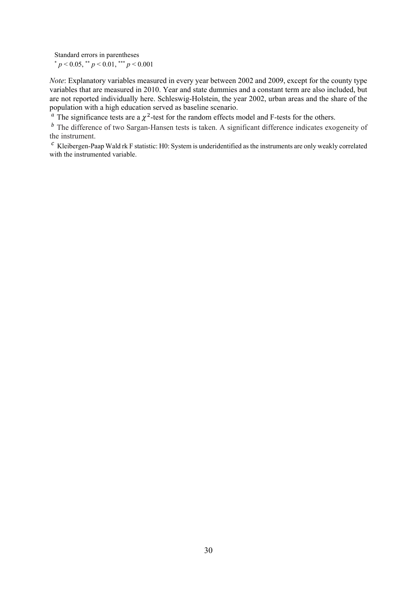Standard errors in parentheses<br>  $p < 0.05$ ,  $\binom{*}{p} < 0.01$ ,  $\binom{*}{p} < 0.001$ 

*Note*: Explanatory variables measured in every year between 2002 and 2009, except for the county type variables that are measured in 2010. Year and state dummies and a constant term are also included, but are not reported individually here. Schleswig-Holstein, the year 2002, urban areas and the share of the population with a high education served as baseline scenario.

 $\frac{a}{a}$ . The significance tests are a  $\chi^2$ -test for the random effects model and F-tests for the others.

 $<sup>b</sup>$  The difference of two Sargan-Hansen tests is taken. A significant difference indicates exogeneity of</sup> the instrument.

 $c$  Kleibergen-Paap Wald rk F statistic: H0: System is underidentified as the instruments are only weakly correlated with the instrumented variable.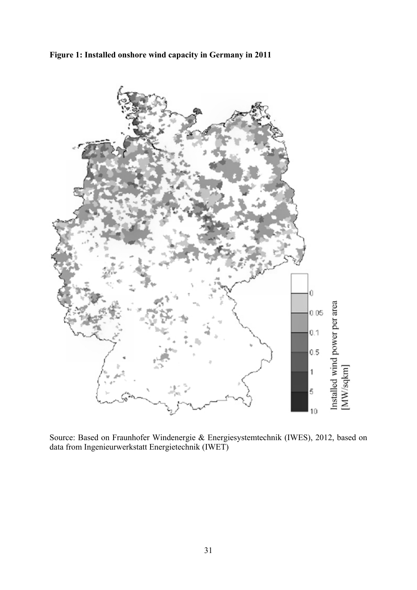

**Figure 1: Installed onshore wind capacity in Germany in 2011** 

Source: Based on Fraunhofer Windenergie & Energiesystemtechnik (IWES), 2012, based on data from Ingenieurwerkstatt Energietechnik (IWET)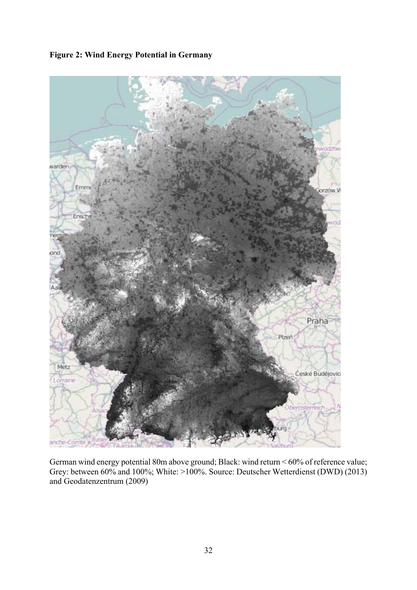

**Figure 2: Wind Energy Potential in Germany** 

German wind energy potential 80m above ground; Black: wind return < 60% of reference value; Grey: between 60% and 100%; White: >100%. Source: Deutscher Wetterdienst (DWD) (2013) and Geodatenzentrum (2009)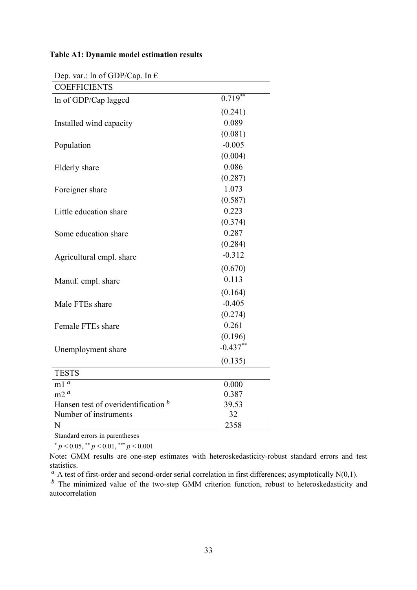#### **Table A1: Dynamic model estimation results**

| Dep. var.: in or GDP/Cap. in $\bar{\tau}$ |            |
|-------------------------------------------|------------|
| <b>COEFFICIENTS</b>                       |            |
| In of GDP/Cap lagged                      | $0.719***$ |
|                                           | (0.241)    |
| Installed wind capacity                   | 0.089      |
|                                           | (0.081)    |
| Population                                | $-0.005$   |
|                                           | (0.004)    |
| Elderly share                             | 0.086      |
|                                           | (0.287)    |
| Foreigner share                           | 1.073      |
|                                           | (0.587)    |
| Little education share                    | 0.223      |
|                                           | (0.374)    |
| Some education share                      | 0.287      |
|                                           | (0.284)    |
| Agricultural empl. share                  | $-0.312$   |
|                                           | (0.670)    |
| Manuf. empl. share                        | 0.113      |
|                                           | (0.164)    |
| Male FTEs share                           | $-0.405$   |
|                                           | (0.274)    |
| Female FTEs share                         | 0.261      |
|                                           | (0.196)    |
| Unemployment share                        | $-0.437**$ |
|                                           | (0.135)    |
| <b>TESTS</b>                              |            |
| $\boldsymbol{a}$<br>m1                    | 0.000      |
| m2 <sup>a</sup>                           | 0.387      |
| Hansen test of overidentification b       | 39.53      |
| Number of instruments                     | 32         |
| N                                         | 2358       |

Dep. var.:  $\ln$  of GDP/Cap. In  $\epsilon$ 

Standard errors in parentheses

 $p < 0.05$ , \*\*  $p < 0.01$ , \*\*\*  $p < 0.001$ 

Note: GMM results are one-step estimates with heteroskedasticity-robust standard errors and test statistics.

 $\alpha$  A test of first-order and second-order serial correlation in first differences; asymptotically N(0,1).

 $<sup>b</sup>$  The minimized value of the two-step GMM criterion function, robust to heteroskedasticity and</sup> autocorrelation